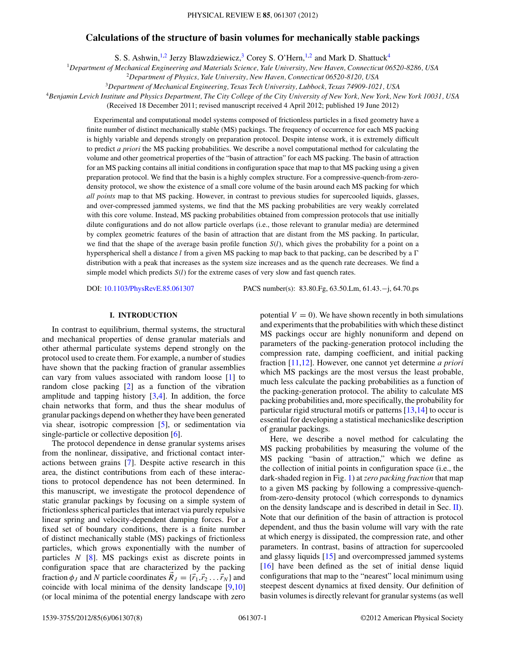# **Calculations of the structure of basin volumes for mechanically stable packings**

S. S. Ashwin,<sup>1,2</sup> Jerzy Blawzdziewicz,<sup>3</sup> Corey S. O'Hern,<sup>1,2</sup> and Mark D. Shattuck<sup>4</sup>

<sup>1</sup>*Department of Mechanical Engineering and Materials Science, Yale University, New Haven, Connecticut 06520-8286, USA*

<sup>2</sup>*Department of Physics, Yale University, New Haven, Connecticut 06520-8120, USA*

<sup>3</sup>*Department of Mechanical Engineering, Texas Tech University, Lubbock, Texas 74909-1021, USA*

<sup>4</sup>*Benjamin Levich Institute and Physics Department, The City College of the City University of New York, New York, New York 10031, USA*

(Received 18 December 2011; revised manuscript received 4 April 2012; published 19 June 2012)

Experimental and computational model systems composed of frictionless particles in a fixed geometry have a finite number of distinct mechanically stable (MS) packings. The frequency of occurrence for each MS packing is highly variable and depends strongly on preparation protocol. Despite intense work, it is extremely difficult to predict *a priori* the MS packing probabilities. We describe a novel computational method for calculating the volume and other geometrical properties of the "basin of attraction" for each MS packing. The basin of attraction for an MS packing contains all initial conditions in configuration space that map to that MS packing using a given preparation protocol. We find that the basin is a highly complex structure. For a compressive-quench-from-zerodensity protocol, we show the existence of a small core volume of the basin around each MS packing for which *all points* map to that MS packing. However, in contrast to previous studies for supercooled liquids, glasses, and over-compressed jammed systems, we find that the MS packing probabilities are very weakly correlated with this core volume. Instead, MS packing probabilities obtained from compression protocols that use initially dilute configurations and do not allow particle overlaps (i.e., those relevant to granular media) are determined by complex geometric features of the basin of attraction that are distant from the MS packing. In particular, we find that the shape of the average basin profile function  $S(l)$ , which gives the probability for a point on a hyperspherical shell a distance l from a given MS packing to map back to that packing, can be described by a  $\Gamma$ distribution with a peak that increases as the system size increases and as the quench rate decreases. We find a simple model which predicts  $S(l)$  for the extreme cases of very slow and fast quench rates.

DOI: 10.1103/PhysRevE.85.061307 PACS number(s): 83.80.Fg, 63.50.Lm, 61.43.−j, 64.70.ps

## **I. INTRODUCTION**

In contrast to equilibrium, thermal systems, the structural and mechanical properties of dense granular materials and other athermal particulate systems depend strongly on the protocol used to create them. For example, a number of studies have shown that the packing fraction of granular assemblies can vary from values associated with random loose [1] to random close packing [2] as a function of the vibration amplitude and tapping history  $[3,4]$ . In addition, the force chain networks that form, and thus the shear modulus of granular packings depend on whether they have been generated via shear, isotropic compression [5], or sedimentation via single-particle or collective deposition [6].

The protocol dependence in dense granular systems arises from the nonlinear, dissipative, and frictional contact interactions between grains [7]. Despite active research in this area, the distinct contributions from each of these interactions to protocol dependence has not been determined. In this manuscript, we investigate the protocol dependence of static granular packings by focusing on a simple system of frictionless spherical particles that interact via purely repulsive linear spring and velocity-dependent damping forces. For a fixed set of boundary conditions, there is a finite number of distinct mechanically stable (MS) packings of frictionless particles, which grows exponentially with the number of particles  $N$  [8]. MS packings exist as discrete points in configuration space that are characterized by the packing fraction  $\phi_J$  and N particle coordinates  $\vec{R}_J = {\vec{r}_1, \vec{r}_2 \dots \vec{r}_N}$  and coincide with local minima of the density landscape [9,10] (or local minima of the potential energy landscape with zero

potential  $V = 0$ ). We have shown recently in both simulations and experiments that the probabilities with which these distinct MS packings occur are highly nonuniform and depend on parameters of the packing-generation protocol including the compression rate, damping coefficient, and initial packing fraction [11,12]. However, one cannot yet determine *a priori* which MS packings are the most versus the least probable, much less calculate the packing probabilities as a function of the packing-generation protocol. The ability to calculate MS packing probabilities and, more specifically, the probability for particular rigid structural motifs or patterns [13,14] to occur is essential for developing a statistical mechanicslike description of granular packings.

Here, we describe a novel method for calculating the MS packing probabilities by measuring the volume of the MS packing "basin of attraction," which we define as the collection of initial points in configuration space (i.e., the dark-shaded region in Fig. 1) at *zero packing fraction* that map to a given MS packing by following a compressive-quenchfrom-zero-density protocol (which corresponds to dynamics on the density landscape and is described in detail in Sec. II). Note that our definition of the basin of attraction is protocol dependent, and thus the basin volume will vary with the rate at which energy is dissipated, the compression rate, and other parameters. In contrast, basins of attraction for supercooled and glassy liquids [15] and overcompressed jammed systems [16] have been defined as the set of initial dense liquid configurations that map to the "nearest" local minimum using steepest descent dynamics at fixed density. Our definition of basin volumes is directly relevant for granular systems (as well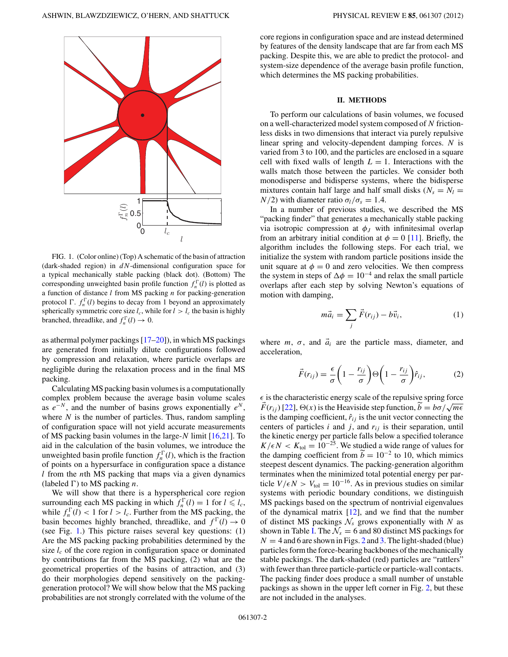

FIG. 1. (Color online) (Top) A schematic of the basin of attraction (dark-shaded region) in  $dN$ -dimensional configuration space for a typical mechanically stable packing (black dot). (Bottom) The corresponding unweighted basin profile function  $f_n^{\Gamma}(l)$  is plotted as a function of distance  $l$  from MS packing  $n$  for packing-generation protocol  $\Gamma$ .  $f_n^{\Gamma}(l)$  begins to decay from 1 beyond an approximately spherically symmetric core size  $l_c$ , while for  $l > l_c$  the basin is highly branched, threadlike, and  $f_n^{\Gamma}(l) \to 0$ .

as athermal polymer packings [17–20]), in which MS packings are generated from initially dilute configurations followed by compression and relaxation, where particle overlaps are negligible during the relaxation process and in the final MS packing.

Calculating MS packing basin volumes is a computationally complex problem because the average basin volume scales as  $e^{-N}$ , and the number of basins grows exponentially  $e^{N}$ , where  $N$  is the number of particles. Thus, random sampling of configuration space will not yield accurate measurements of MS packing basin volumes in the large-N limit [16,21]. To aid in the calculation of the basin volumes, we introduce the unweighted basin profile function  $f_n^{\Gamma}(l)$ , which is the fraction of points on a hypersurface in configuration space a distance  $l$  from the *n*th MS packing that maps via a given dynamics (labeled  $\Gamma$ ) to MS packing *n*.

We will show that there is a hyperspherical core region surrounding each MS packing in which  $f_n^{\Gamma}(l) = 1$  for  $l \le l_c$ , while  $f_n^{\Gamma}(l) < 1$  for  $l > l_c$ . Further from the MS packing, the basin becomes highly branched, threadlike, and  $f^{\Gamma}(l) \rightarrow 0$ (see Fig. 1.) This picture raises several key questions: (1) Are the MS packing packing probabilities determined by the size  $l_c$  of the core region in configuration space or dominated by contributions far from the MS packing, (2) what are the geometrical properties of the basins of attraction, and (3) do their morphologies depend sensitively on the packinggeneration protocol? We will show below that the MS packing probabilities are not strongly correlated with the volume of the core regions in configuration space and are instead determined by features of the density landscape that are far from each MS packing. Despite this, we are able to predict the protocol- and system-size dependence of the average basin profile function, which determines the MS packing probabilities.

#### **II. METHODS**

To perform our calculations of basin volumes, we focused on a well-characterized model system composed of N frictionless disks in two dimensions that interact via purely repulsive linear spring and velocity-dependent damping forces. N is varied from 3 to 100, and the particles are enclosed in a square cell with fixed walls of length  $L = 1$ . Interactions with the walls match those between the particles. We consider both monodisperse and bidisperse systems, where the bidisperse mixtures contain half large and half small disks ( $N_s = N_l$  =  $N/2$ ) with diameter ratio  $\sigma_l/\sigma_s = 1.4$ .

In a number of previous studies, we described the MS "packing finder" that generates a mechanically stable packing via isotropic compression at  $\phi_J$  with infinitesimal overlap from an arbitrary initial condition at  $\phi = 0$  [11]. Briefly, the algorithm includes the following steps. For each trial, we initialize the system with random particle positions inside the unit square at  $\phi = 0$  and zero velocities. We then compress the system in steps of  $\Delta \phi = 10^{-4}$  and relax the small particle overlaps after each step by solving Newton's equations of motion with damping,

$$
m\vec{a}_i = \sum_j \vec{F}(r_{ij}) - b\vec{v}_i, \qquad (1)
$$

where  $m$ ,  $\sigma$ , and  $\vec{a}_i$  are the particle mass, diameter, and acceleration,

$$
\vec{F}(r_{ij}) = \frac{\epsilon}{\sigma} \left( 1 - \frac{r_{ij}}{\sigma} \right) \Theta \left( 1 - \frac{r_{ij}}{\sigma} \right) \hat{r}_{ij},
$$
 (2)

 $\epsilon$  is the characteristic energy scale of the repulsive spring force  $\vec{F}(r_{ij})$  [22],  $\Theta(x)$  is the Heaviside step function,  $\tilde{b} = b\sigma/\sqrt{m\epsilon}$ is the damping coefficient,  $\hat{r}_{ij}$  is the unit vector connecting the centers of particles  $i$  and  $j$ , and  $r_{ij}$  is their separation, until the kinetic energy per particle falls below a specified tolerance  $K/\epsilon N < K_{\text{tol}} = 10^{-25}$ . We studied a wide range of values for the damping coefficient from  $\widetilde{b} = 10^{-2}$  to 10, which mimics steepest descent dynamics. The packing-generation algorithm terminates when the minimized total potential energy per particle  $V/\epsilon N > V_{\text{tol}} = 10^{-16}$ . As in previous studies on similar systems with periodic boundary conditions, we distinguish MS packings based on the spectrum of nontrivial eigenvalues of the dynamical matrix [12], and we find that the number of distinct MS packings  $\mathcal{N}_s$  grows exponentially with N as shown in Table I. The  $\mathcal{N}_s = 6$  and 80 distinct MS packings for  $N = 4$  and 6 are shown in Figs. 2 and 3. The light-shaded (blue) particles form the force-bearing backbones of the mechanically stable packings. The dark-shaded (red) particles are "rattlers" with fewer than three particle-particle or particle-wall contacts. The packing finder does produce a small number of unstable packings as shown in the upper left corner in Fig. 2, but these are not included in the analyses.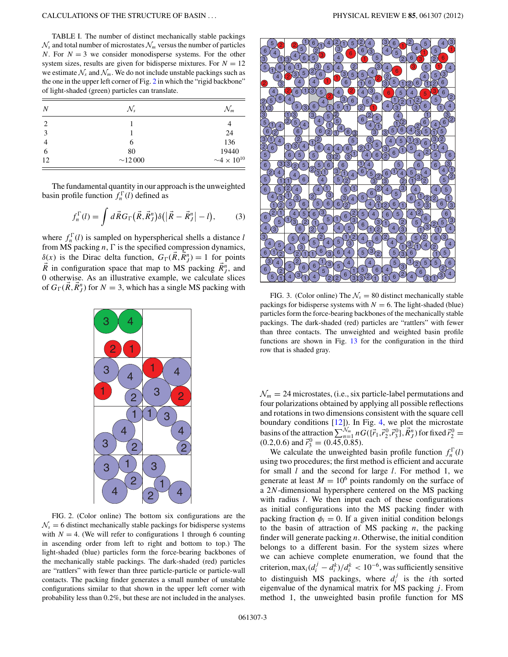TABLE I. The number of distinct mechanically stable packings  $\mathcal{N}_s$  and total number of microstates  $\mathcal{N}_m$  versus the number of particles N. For  $N = 3$  we consider monodisperse systems. For the other system sizes, results are given for bidisperse mixtures. For  $N = 12$ we estimate  $\mathcal{N}_s$  and  $\mathcal{N}_m$ . We do not include unstable packings such as the one in the upper left corner of Fig. 2 in which the "rigid backbone" of light-shaded (green) particles can translate.

| $\boldsymbol{N}$ | $\mathcal{N}_{\rm s}$ | $\mathcal{N}_m$             |
|------------------|-----------------------|-----------------------------|
| $\overline{c}$   |                       | 4                           |
| 3                |                       | 24                          |
| 4                | 6                     | 136                         |
| 6                | 80                    | 19440                       |
| 12               | $\sim$ 12000          | $\sim$ 4 × 10 <sup>10</sup> |

The fundamental quantity in our approach is the unweighted basin profile function  $f_n^{\Gamma}(l)$  defined as

$$
f_n^{\Gamma}(l) = \int d\vec{R} G_{\Gamma}(\vec{R}, \vec{R}_J^n) \delta(|\vec{R} - \vec{R}_J^n| - l), \qquad (3)
$$

where  $f_n^{\Gamma}(l)$  is sampled on hyperspherical shells a distance l from  $\overrightarrow{MS}$  packing *n*,  $\Gamma$  is the specified compression dynamics,  $\delta(x)$  is the Dirac delta function,  $G_{\Gamma}(\vec{R}, \vec{R}_J^n) = 1$  for points  $\vec{R}$  in configuration space that map to MS packing  $\vec{R}_j^n$ , and 0 otherwise. As an illustrative example, we calculate slices of  $G_{\Gamma}(\vec{R}, \vec{R}_{J}^{n})$  for  $N = 3$ , which has a single MS packing with



FIG. 2. (Color online) The bottom six configurations are the  $\mathcal{N}_s = 6$  distinct mechanically stable packings for bidisperse systems with  $N = 4$ . (We will refer to configurations 1 through 6 counting in ascending order from left to right and bottom to top.) The light-shaded (blue) particles form the force-bearing backbones of the mechanically stable packings. The dark-shaded (red) particles are "rattlers" with fewer than three particle-particle or particle-wall contacts. The packing finder generates a small number of unstable configurations similar to that shown in the upper left corner with probability less than 0.2%, but these are not included in the analyses.



FIG. 3. (Color online) The  $\mathcal{N}_s = 80$  distinct mechanically stable packings for bidisperse systems with  $N = 6$ . The light-shaded (blue) particles form the force-bearing backbones of the mechanically stable packings. The dark-shaded (red) particles are "rattlers" with fewer than three contacts. The unweighted and weighted basin profile functions are shown in Fig. 13 for the configuration in the third row that is shaded gray.

 $\mathcal{N}_m = 24$  microstates, (i.e., six particle-label permutations and four polarizations obtained by applying all possible reflections and rotations in two dimensions consistent with the square cell boundary conditions [12]). In Fig. 4, we plot the microstate basins of the attraction  $\sum_{n=1}^{N_m} nG(\{\vec{r}_1, \vec{r}_2^0, \vec{r}_3^0\}, \vec{R}_j^n)$  for fixed  $\vec{r}_2^0 = (0.2, 0.6)$  and  $\vec{r}_3^0 = (0.45, 0.85)$ .

We calculate the unweighted basin profile function  $f_n^{\Gamma}(l)$ using two procedures; the first method is efficient and accurate for small  $l$  and the second for large  $l$ . For method 1, we generate at least  $M = 10^6$  points randomly on the surface of a 2N-dimensional hypersphere centered on the MS packing with radius  $l$ . We then input each of these configurations as initial configurations into the MS packing finder with packing fraction  $\phi_i = 0$ . If a given initial condition belongs to the basin of attraction of MS packing  $n$ , the packing finder will generate packing  $n$ . Otherwise, the initial condition belongs to a different basin. For the system sizes where we can achieve complete enumeration, we found that the criterion,  $\max_i (d_i^j - d_i^k)/d_i^k < 10^{-6}$ , was sufficiently sensitive to distinguish MS packings, where  $d_i^j$  is the *i*th sorted eigenvalue of the dynamical matrix for MS packing  $j$ . From method 1, the unweighted basin profile function for MS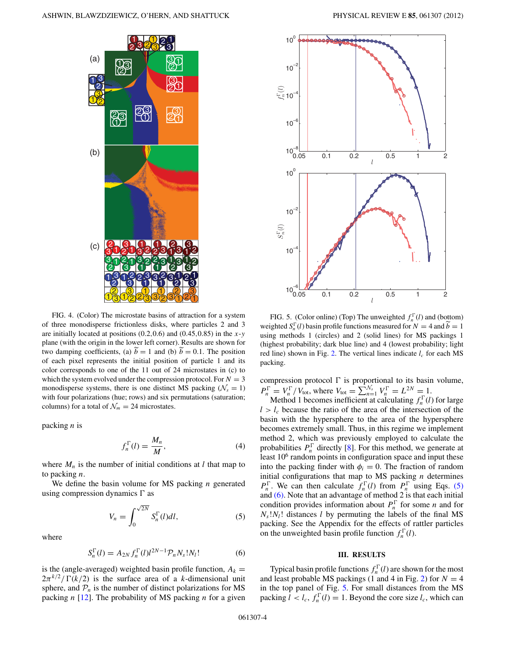

FIG. 4. (Color) The microstate basins of attraction for a system of three monodisperse frictionless disks, where particles 2 and 3 are initially located at positions  $(0.2, 0.6)$  and  $(0.45, 0.85)$  in the x-y plane (with the origin in the lower left corner). Results are shown for two damping coefficients, (a)  $\tilde{b} = 1$  and (b)  $\tilde{b} = 0.1$ . The position of each pixel represents the initial position of particle 1 and its color corresponds to one of the 11 out of 24 microstates in (c) to which the system evolved under the compression protocol. For  $N = 3$ monodisperse systems, there is one distinct MS packing ( $\mathcal{N}_s = 1$ ) with four polarizations (hue; rows) and six permutations (saturation; columns) for a total of  $\mathcal{N}_m = 24$  microstates.

packing  $n$  is

$$
f_n^{\Gamma}(l) = \frac{M_n}{M},\tag{4}
$$

where  $M_n$  is the number of initial conditions at l that map to to packing  $n$ .

We define the basin volume for MS packing  $n$  generated using compression dynamics  $\Gamma$  as

$$
V_n = \int_0^{\sqrt{2N}} S_n^{\Gamma}(l) dl,
$$
 (5)

where

$$
S_n^{\Gamma}(l) = A_{2N} f_n^{\Gamma}(l) l^{2N-1} \mathcal{P}_n N_s! N_l! \tag{6}
$$

is the (angle-averaged) weighted basin profile function,  $A_k =$  $2\pi^{k/2}/\Gamma(k/2)$  is the surface area of a k-dimensional unit sphere, and  $P_n$  is the number of distinct polarizations for MS packing  $n$  [12]. The probability of MS packing  $n$  for a given



FIG. 5. (Color online) (Top) The unweighted  $f_n^{\Gamma}(l)$  and (bottom) weighted  $S_n^{\Gamma}(l)$  basin profile functions measured for  $N = 4$  and  $b = 1$ using methods 1 (circles) and 2 (solid lines) for MS packings 1 (highest probability; dark blue line) and 4 (lowest probability; light red line) shown in Fig. 2. The vertical lines indicate  $l_c$  for each MS packing.

compression protocol  $\Gamma$  is proportional to its basin volume,  $P_n^{\Gamma} = V_n^{\Gamma}/V_{\text{tot}}$ , where  $V_{\text{tot}} = \sum_{n=1}^{N_s} V_n^{\Gamma} = L^{2N} = 1$ .

Method 1 becomes inefficient at calculating  $f_n^{\Gamma}(l)$  for large  $l > l_c$  because the ratio of the area of the intersection of the basin with the hypersphere to the area of the hypersphere becomes extremely small. Thus, in this regime we implement method 2, which was previously employed to calculate the probabilities  $P_n^{\Gamma}$  directly [8]. For this method, we generate at least  $10<sup>6</sup>$  random points in configuration space and input these into the packing finder with  $\phi_i = 0$ . The fraction of random initial configurations that map to MS packing  $n$  determines  $P_n^{\Gamma}$ . We can then calculate  $f_n^{\Gamma}(l)$  from  $P_n^{\Gamma}$  using Eqs. (5) and  $(6)$ . Note that an advantage of method 2 is that each initial condition provides information about  $P_n^{\Gamma}$  for some *n* and for  $N_s!N_l!$  distances l by permuting the labels of the final MS packing. See the Appendix for the effects of rattler particles on the unweighted basin profile function  $f_n^{\Gamma}(l)$ .

## **III. RESULTS**

Typical basin profile functions  $f_n^{\Gamma}(l)$  are shown for the most and least probable MS packings (1 and 4 in Fig. 2) for  $N = 4$ in the top panel of Fig. 5. For small distances from the MS packing  $l < l_c$ ,  $f_n^{\Gamma}(l) = 1$ . Beyond the core size  $l_c$ , which can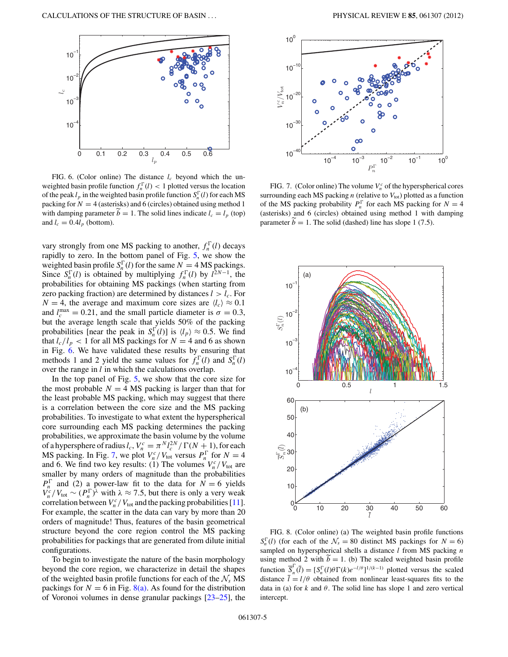

FIG. 6. (Color online) The distance  $l_c$  beyond which the unweighted basin profile function  $f_n^{\Gamma}(l) < 1$  plotted versus the location of the peak  $l_p$  in the weighted basin profile function  $S_n^{\Gamma}(l)$  for each MS packing for  $N = 4$  (asterisks) and 6 (circles) obtained using method 1 with damping parameter  $\vec{b} = 1$ . The solid lines indicate  $l_c = l_p$  (top) and  $l_c = 0.4l_p$  (bottom).

vary strongly from one MS packing to another,  $f_n^{\Gamma}(l)$  decays rapidly to zero. In the bottom panel of Fig. 5, we show the weighted basin profile  $S_n^{\Gamma}(l)$  for the same  $N = 4$  MS packings. Since  $S_n^{\Gamma}(l)$  is obtained by multiplying  $f_n^{\Gamma}(l)$  by  $l^{2N-1}$ , the probabilities for obtaining MS packings (when starting from zero packing fraction) are determined by distances  $l > l_c$ . For  $N = 4$ , the average and maximum core sizes are  $\langle l_c \rangle \approx 0.1$ and  $l_c^{\text{max}} = 0.21$ , and the small particle diameter is  $\sigma = 0.3$ , but the average length scale that yields 50% of the packing probabilities [near the peak in  $S_n^{\Gamma}(l)$ ] is  $\langle l_p \rangle \approx 0.5$ . We find that  $l_c/l_p < 1$  for all MS packings for  $N = 4$  and 6 as shown in Fig. 6. We have validated these results by ensuring that methods 1 and 2 yield the same values for  $f_n^{\Gamma}(l)$  and  $S_n^{\Gamma}(l)$ over the range in *l* in which the calculations overlap.

In the top panel of Fig. 5, we show that the core size for the most probable  $N = 4$  MS packing is larger than that for the least probable MS packing, which may suggest that there is a correlation between the core size and the MS packing probabilities. To investigate to what extent the hyperspherical core surrounding each MS packing determines the packing probabilities, we approximate the basin volume by the volume of a hypersphere of radius  $l_c$ ,  $V_n^c = \pi^N l_c^{2N} / \Gamma(N + 1)$ , for each MS packing. In Fig. 7, we plot  $V_n^c / V_{\text{tot}}$  versus  $P_n^{\Gamma}$  for  $N = 4$ and 6. We find two key results: (1) The volumes  $V_n^c / V_{\text{tot}}$  are smaller by many orders of magnitude than the probabilities  $P_n^{\Gamma}$  and (2) a power-law fit to the data for  $N = 6$  yields  $V_n^c / V_{\text{tot}} \sim (P_n^{\Gamma})^{\lambda}$  with  $\lambda \approx 7.5$ , but there is only a very weak correlation between  $V_n^c / V_{\text{tot}}$  and the packing probabilities [11]. For example, the scatter in the data can vary by more than 20 orders of magnitude! Thus, features of the basin geometrical structure beyond the core region control the MS packing probabilities for packings that are generated from dilute initial configurations.

To begin to investigate the nature of the basin morphology beyond the core region, we characterize in detail the shapes of the weighted basin profile functions for each of the  $\mathcal{N}_s$  MS packings for  $N = 6$  in Fig. 8(a). As found for the distribution of Voronoi volumes in dense granular packings [23–25], the



FIG. 7. (Color online) The volume  $V_n^c$  of the hyperspherical cores surrounding each MS packing  $n$  (relative to  $V_{\text{tot}}$ ) plotted as a function of the MS packing probability  $P_n^{\Gamma}$  for each MS packing for  $N = 4$ (asterisks) and 6 (circles) obtained using method 1 with damping parameter  $\ddot{b} = 1$ . The solid (dashed) line has slope 1 (7.5).



FIG. 8. (Color online) (a) The weighted basin profile functions  $S_n^{\Gamma}(l)$  (for each of the  $\mathcal{N}_s = 80$  distinct MS packings for  $N = 6$ ) sampled on hyperspherical shells a distance  $l$  from MS packing  $n$ using method 2 with  $\tilde{b} = 1$ . (b) The scaled weighted basin profile function  $\overline{S}_n^{\Gamma}(\overline{l}) = [S_n^{\Gamma}(l)\theta \Gamma(k)e^{-l/\theta}]^{1/(k-1)}$  plotted versus the scaled distance  $\bar{l} = l/\theta$  obtained from nonlinear least-squares fits to the data in (a) for k and  $\theta$ . The solid line has slope 1 and zero vertical intercept.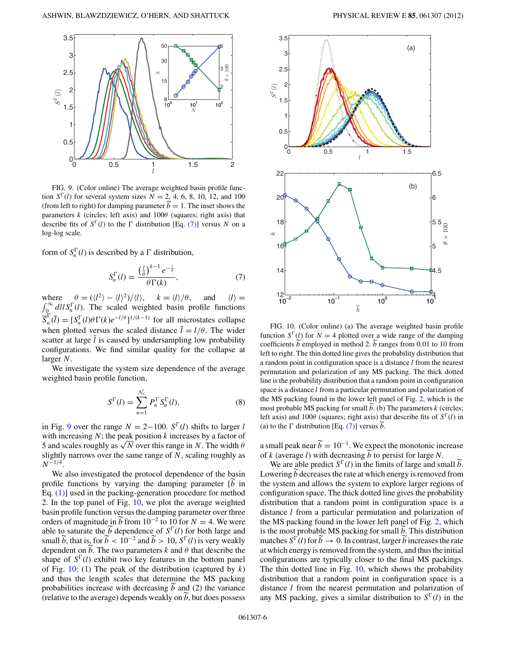

FIG. 9. (Color online) The average weighted basin profile function  $S^{(l)}(l)$  for several system sizes  $N = 2, 4, 6, 8, 10, 12,$  and 100 (from left to right) for damping parameter  $\widetilde{b} = 1$ . The inset shows the parameters k (circles; left axis) and  $100\theta$  (squares; right axis) that describe fits of  $S^{\Gamma}(l)$  to the  $\Gamma$  distribution [Eq. (7)] versus N on a log-log scale.

form of  $S_n^{\Gamma}(l)$  is described by a  $\Gamma$  distribution,

$$
S_n^{\Gamma}(l) = \frac{\left(\frac{l}{\theta}\right)^{k-1} e^{-\frac{l}{\theta}}}{\theta \Gamma(k)},\tag{7}
$$

where  $\theta = (\langle l^2 \rangle - \langle l \rangle^2)/\langle l \rangle$ ,  $k = \langle l \rangle/\theta$ , and  $\langle l \rangle = \int_0^\infty dl l S_n^{\Gamma}(l)$ . The scaled weighted basin profile functions  $\theta = (\langle l^2 \rangle - \langle l \rangle^2)/\langle l \rangle$ ,  $k = \langle l \rangle/\theta$ , and  $\langle l \rangle =$  $\overline{S}_n^{\Gamma}(\overline{l}) = [S_n^{\Gamma}(l)\theta \Gamma(k)e^{-l/\theta}]^{1/(k-1)}$  for all microstates collapse when plotted versus the scaled distance  $\bar{l} = l/\theta$ . The wider scatter at large  $\bar{l}$  is caused by undersampling low probability configurations. We find similar quality for the collapse at larger N.

We investigate the system size dependence of the average weighted basin profile function,

$$
S^{\Gamma}(l) = \sum_{n=1}^{\mathcal{N}_s} P_n^{\Gamma} S_n^{\Gamma}(l), \qquad (8)
$$

in Fig. 9 over the range  $N = 2-100$ . S<sup> $\Gamma$ </sup>(l) shifts to larger l with increasing  $N$ ; the peak position  $k$  increases by a factor of 5 and scales roughly as  $\sqrt{N}$  over this range in N. The width  $\theta$ slightly narrows over the same range of  $N$ , scaling roughly as  $N^{-1/4}$ .

We also investigated the protocol dependence of the basin profile functions by varying the damping parameter  $[b]$  in Eq. (1)] used in the packing-generation procedure for method 2. In the top panel of Fig. 10, we plot the average weighted basin profile function versus the damping parameter over three orders of magnitude in  $\tilde{b}$  from 10<sup>-2</sup> to 10 for  $N = 4$ . We were able to saturate the  $\tilde{b}$  dependence of  $S^{\Gamma}(l)$  for both large and small  $\widetilde{b}$ , that is, for  $\widetilde{b} < 10^{-2}$  and  $\widetilde{b} > 10$ ,  $S^{\Gamma}(l)$  is very weakly dependent on  $\bar{b}$ . The two parameters k and  $\theta$  that describe the shape of  $S^{\Gamma}(l)$  exhibit two key features in the bottom panel of Fig. 10: (1) The peak of the distribution (captured by  $k$ ) and thus the length scales that determine the MS packing probabilities increase with decreasing  $\bar{b}$  and (2) the variance (relative to the average) depends weakly on  $\bar{b}$ , but does possess



FIG. 10. (Color online) (a) The average weighted basin profile function  $S^{\Gamma}(l)$  for  $N = 4$  plotted over a wide range of the damping coefficients  $\ddot{b}$  employed in method 2.  $\ddot{b}$  ranges from 0.01 to 10 from left to right. The thin dotted line gives the probability distribution that a random point in configuration space is a distance l from the nearest permutation and polarization of any MS packing. The thick dotted line is the probability distribution that a random point in configuration space is a distance *l* from a particular permutation and polarization of the MS packing found in the lower left panel of Fig. 2, which is the most probable MS packing for small  $\tilde{b}$ . (b) The parameters k (circles; left axis) and 100 $\theta$  (squares; right axis) that describe fits of  $S^{\Gamma}(l)$  in (a) to the  $\Gamma$  distribution [Eq. (7)] versus b.

a small peak near  $\widetilde{b} = 10^{-1}$ . We expect the monotonic increase of k (average l) with decreasing  $\tilde{b}$  to persist for large N.

We are able predict  $S<sup>\Gamma</sup>(l)$  in the limits of large and small  $\tilde{b}$ . Lowering  $\overline{b}$  decreases the rate at which energy is removed from the system and allows the system to explore larger regions of configuration space. The thick dotted line gives the probability distribution that a random point in configuration space is a distance *l* from a particular permutation and polarization of the MS packing found in the lower left panel of Fig. 2, which is the most probable MS packing for small  $\hat{b}$ . This distribution matches  $S^{\Gamma}(l)$  for  $b \to 0$ . In contrast, larger b increases the rate at which energy is removed from the system, and thus the initial configurations are typically closer to the final MS packings. The thin dotted line in Fig. 10, which shows the probability distribution that a random point in configuration space is a distance *l* from the nearest permutation and polarization of any MS packing, gives a similar distribution to  $S^{\Gamma}(l)$  in the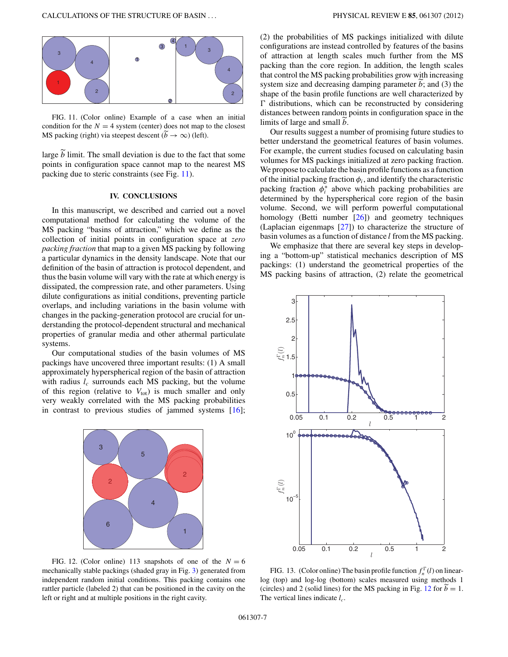

FIG. 11. (Color online) Example of a case when an initial condition for the  $N = 4$  system (center) does not map to the closest MS packing (right) via steepest descent ( $\ddot{b} \rightarrow \infty$ ) (left).

large  $\tilde{b}$  limit. The small deviation is due to the fact that some points in configuration space cannot map to the nearest MS packing due to steric constraints (see Fig. 11).

## **IV. CONCLUSIONS**

In this manuscript, we described and carried out a novel computational method for calculating the volume of the MS packing "basins of attraction," which we define as the collection of initial points in configuration space at *zero packing fraction* that map to a given MS packing by following a particular dynamics in the density landscape. Note that our definition of the basin of attraction is protocol dependent, and thus the basin volume will vary with the rate at which energy is dissipated, the compression rate, and other parameters. Using dilute configurations as initial conditions, preventing particle overlaps, and including variations in the basin volume with changes in the packing-generation protocol are crucial for understanding the protocol-dependent structural and mechanical properties of granular media and other athermal particulate systems.

Our computational studies of the basin volumes of MS packings have uncovered three important results: (1) A small approximately hyperspherical region of the basin of attraction with radius  $l_c$  surrounds each MS packing, but the volume of this region (relative to  $V_{\text{tot}}$ ) is much smaller and only very weakly correlated with the MS packing probabilities in contrast to previous studies of jammed systems [16];



FIG. 12. (Color online) 113 snapshots of one of the  $N = 6$ mechanically stable packings (shaded gray in Fig. 3) generated from independent random initial conditions. This packing contains one rattler particle (labeled 2) that can be positioned in the cavity on the left or right and at multiple positions in the right cavity.

(2) the probabilities of MS packings initialized with dilute configurations are instead controlled by features of the basins of attraction at length scales much further from the MS packing than the core region. In addition, the length scales that control the MS packing probabilities grow with increasing system size and decreasing damping parameter  $b$ ; and (3) the shape of the basin profile functions are well characterized by  $\Gamma$  distributions, which can be reconstructed by considering distances between random points in configuration space in the limits of large and small  $\ddot{b}$ .

Our results suggest a number of promising future studies to better understand the geometrical features of basin volumes. For example, the current studies focused on calculating basin volumes for MS packings initialized at zero packing fraction. We propose to calculate the basin profile functions as a function of the initial packing fraction  $\phi_i$ , and identify the characteristic packing fraction  $\phi_i^*$  above which packing probabilities are determined by the hyperspherical core region of the basin volume. Second, we will perform powerful computational homology (Betti number [26]) and geometry techniques (Laplacian eigenmaps [27]) to characterize the structure of basin volumes as a function of distance l from the MS packing.

We emphasize that there are several key steps in developing a "bottom-up" statistical mechanics description of MS packings: (1) understand the geometrical properties of the MS packing basins of attraction, (2) relate the geometrical



FIG. 13. (Color online) The basin profile function  $f_n^{\Gamma}(l)$  on linearlog (top) and log-log (bottom) scales measured using methods 1 (circles) and 2 (solid lines) for the MS packing in Fig. 12 for  $\tilde{b} = 1$ . The vertical lines indicate  $l_c$ .